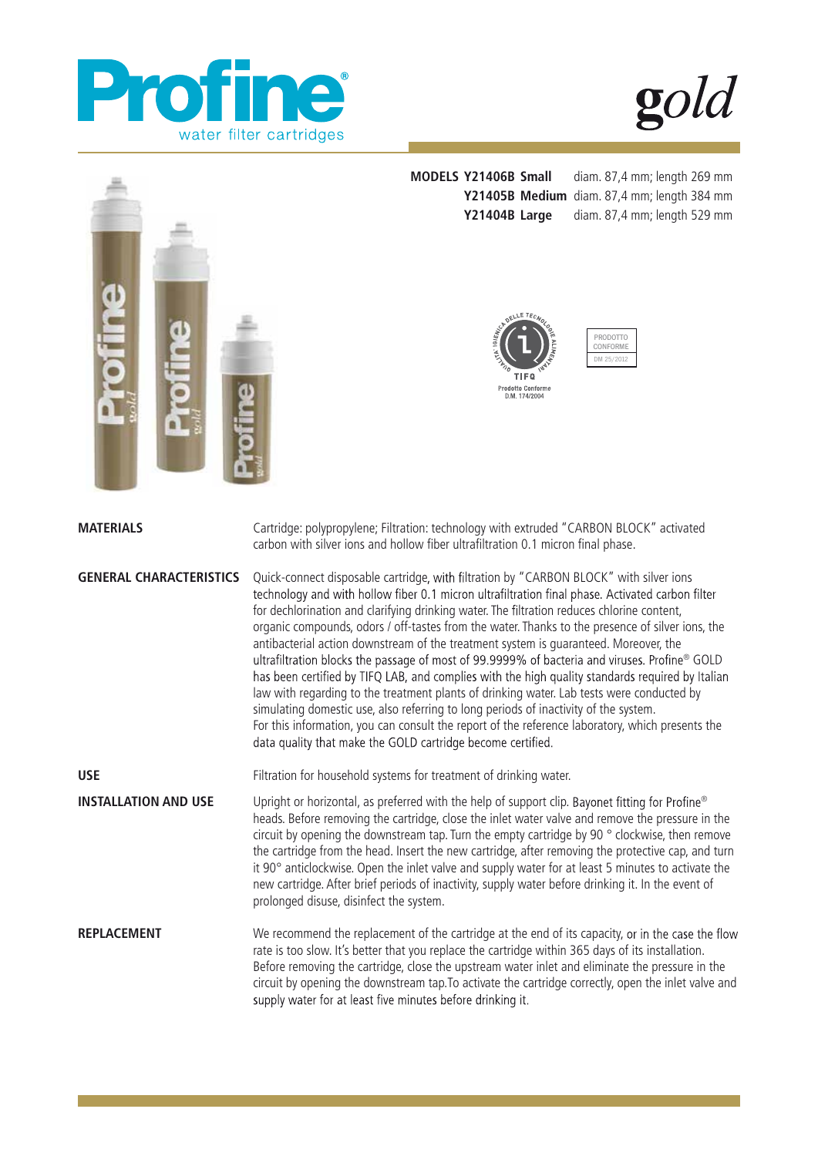

 $\boldsymbol{\mathfrak{D}}$ d



**MATERIALS** 

**MODELS Y21406B Small** diam. 87,4 mm; length 269 mm **Y21405B Medium** diam. 87,4 mm; length 384 mm **Y21404B Large** diam. 87,4 mm; length 529 mm

![](_page_0_Picture_4.jpeg)

PRODOTTO CONFORM DM 25/2012

Cartridge: polypropylene; Filtration: technology with extruded "CARBON BLOCK" activated carbon with silver ions and hollow fiber ultrafiltration 0.1 micron final phase.

**GENERAL CHARACTERISTICS**  Quick-connect disposable cartridge, with filtration by "CARBON BLOCK" with silver ions technology and with hollow fiber 0.1 micron ultrafiltration final phase. Activated carbon filter for dechlorination and clarifying drinking water. The filtration reduces chlorine content, organic compounds, odors / off-tastes from the water. Thanks to the presence of silver ions, the antibacterial action downstream of the treatment system is guaranteed. Moreover, the ultrafiltration blocks the passage of most of 99.9999% of bacteria and viruses. Profine® GOLD has been certified by TIFQ LAB, and complies with the high quality standards required by Italian law with regarding to the treatment plants of drinking water. Lab tests were conducted by simulating domestic use, also referring to long periods of inactivity of the system. For this information, you can consult the report of the reference laboratory, which presents the data quality that make the GOLD cartridge become certified.

**USE** Filtration for household systems for treatment of drinking water.

**INSTALLATION AND USE** Upright or horizontal, as preferred with the help of support clip. Bayonet fitting for Profine® heads. Before removing the cartridge, close the inlet water valve and remove the pressure in the circuit by opening the downstream tap. Turn the empty cartridge by 90 $\degree$  clockwise, then remove the cartridge from the head. Insert the new cartridge, after removing the protective cap, and turn it 90° anticlockwise. Open the inlet valve and supply water for at least 5 minutes to activate the new cartridge. After brief periods of inactivity, supply water before drinking it. In the event of prolonged disuse, disinfect the system.

**REPLACEMENT** We recommend the replacement of the cartridge at the end of its capacity, or in the case the flow rate is too slow. It's better that you replace the cartridge within 365 days of its installation. Before removing the cartridge, close the upstream water inlet and eliminate the pressure in the circuit by opening the downstream tap.To activate the cartridge correctly, open the inlet valve and supply water for at least five minutes before drinking it.